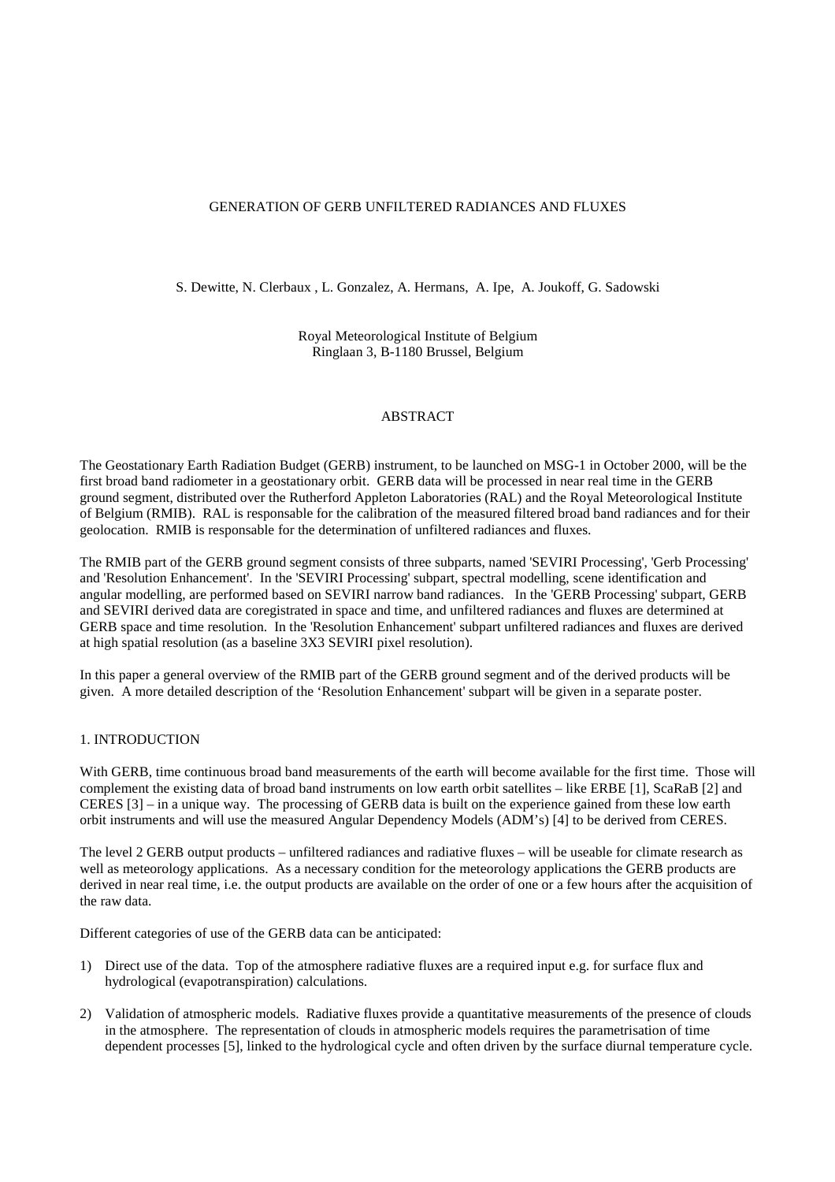### GENERATION OF GERB UNFILTERED RADIANCES AND FLUXES

S. Dewitte, N. Clerbaux , L. Gonzalez, A. Hermans, A. Ipe, A. Joukoff, G. Sadowski

Royal Meteorological Institute of Belgium Ringlaan 3, B-1180 Brussel, Belgium

#### ABSTRACT

The Geostationary Earth Radiation Budget (GERB) instrument, to be launched on MSG-1 in October 2000, will be the first broad band radiometer in a geostationary orbit. GERB data will be processed in near real time in the GERB ground segment, distributed over the Rutherford Appleton Laboratories (RAL) and the Royal Meteorological Institute of Belgium (RMIB). RAL is responsable for the calibration of the measured filtered broad band radiances and for their geolocation. RMIB is responsable for the determination of unfiltered radiances and fluxes.

The RMIB part of the GERB ground segment consists of three subparts, named 'SEVIRI Processing', 'Gerb Processing' and 'Resolution Enhancement'. In the 'SEVIRI Processing' subpart, spectral modelling, scene identification and angular modelling, are performed based on SEVIRI narrow band radiances. In the 'GERB Processing' subpart, GERB and SEVIRI derived data are coregistrated in space and time, and unfiltered radiances and fluxes are determined at GERB space and time resolution. In the 'Resolution Enhancement' subpart unfiltered radiances and fluxes are derived at high spatial resolution (as a baseline 3X3 SEVIRI pixel resolution).

In this paper a general overview of the RMIB part of the GERB ground segment and of the derived products will be given. A more detailed description of the 'Resolution Enhancement' subpart will be given in a separate poster.

#### 1. INTRODUCTION

With GERB, time continuous broad band measurements of the earth will become available for the first time. Those will complement the existing data of broad band instruments on low earth orbit satellites – like ERBE [1], ScaRaB [2] and CERES [3] – in a unique way. The processing of GERB data is built on the experience gained from these low earth orbit instruments and will use the measured Angular Dependency Models (ADM's) [4] to be derived from CERES.

The level 2 GERB output products – unfiltered radiances and radiative fluxes – will be useable for climate research as well as meteorology applications. As a necessary condition for the meteorology applications the GERB products are derived in near real time, i.e. the output products are available on the order of one or a few hours after the acquisition of the raw data.

Different categories of use of the GERB data can be anticipated:

- 1) Direct use of the data. Top of the atmosphere radiative fluxes are a required input e.g. for surface flux and hydrological (evapotranspiration) calculations.
- 2) Validation of atmospheric models. Radiative fluxes provide a quantitative measurements of the presence of clouds in the atmosphere. The representation of clouds in atmospheric models requires the parametrisation of time dependent processes [5], linked to the hydrological cycle and often driven by the surface diurnal temperature cycle.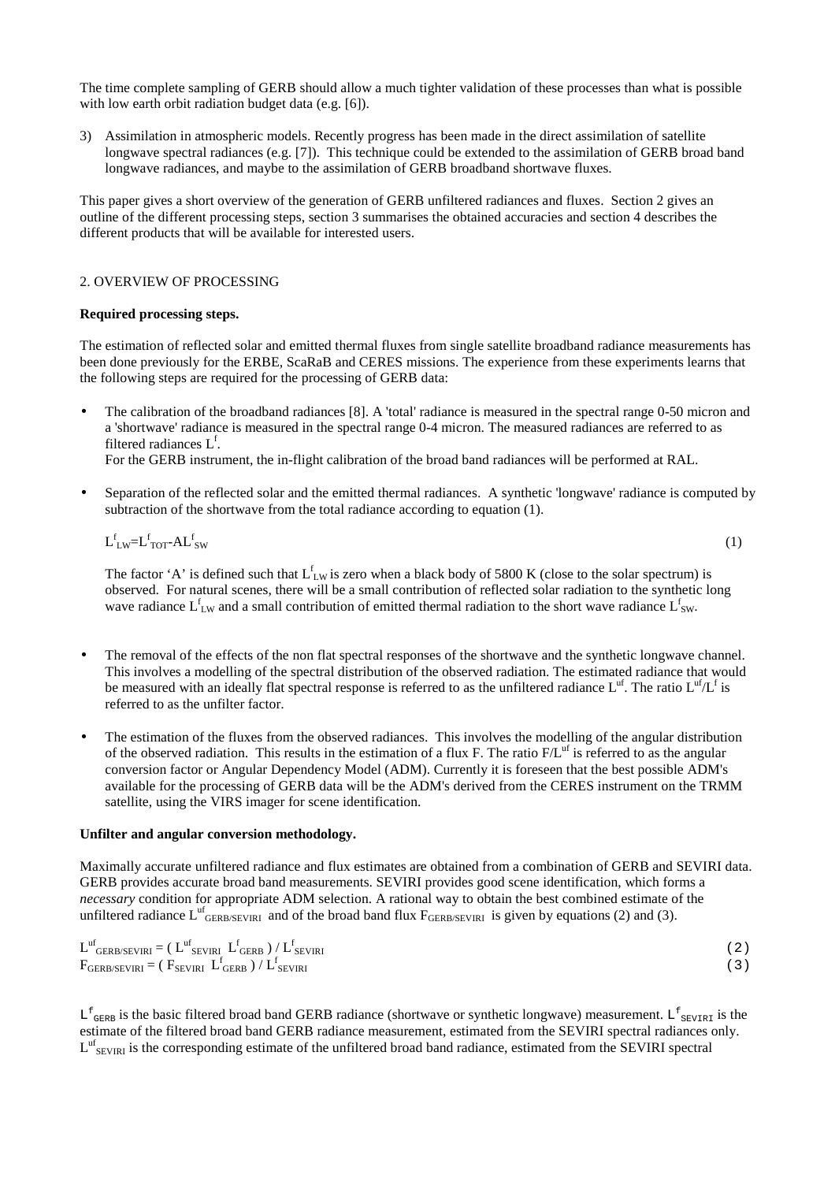The time complete sampling of GERB should allow a much tighter validation of these processes than what is possible with low earth orbit radiation budget data (e.g. [6]).

3) Assimilation in atmospheric models. Recently progress has been made in the direct assimilation of satellite longwave spectral radiances (e.g. [7]). This technique could be extended to the assimilation of GERB broad band longwave radiances, and maybe to the assimilation of GERB broadband shortwave fluxes.

This paper gives a short overview of the generation of GERB unfiltered radiances and fluxes. Section 2 gives an outline of the different processing steps, section 3 summarises the obtained accuracies and section 4 describes the different products that will be available for interested users.

## 2. OVERVIEW OF PROCESSING

### **Required processing steps.**

The estimation of reflected solar and emitted thermal fluxes from single satellite broadband radiance measurements has been done previously for the ERBE, ScaRaB and CERES missions. The experience from these experiments learns that the following steps are required for the processing of GERB data:

• The calibration of the broadband radiances [8]. A 'total' radiance is measured in the spectral range 0-50 micron and a 'shortwave' radiance is measured in the spectral range 0-4 micron. The measured radiances are referred to as filtered radiances  $L^f$ .

For the GERB instrument, the in-flight calibration of the broad band radiances will be performed at RAL.

• Separation of the reflected solar and the emitted thermal radiances. A synthetic 'longwave' radiance is computed by subtraction of the shortwave from the total radiance according to equation (1).

$$
L_{LW}^f = L_{TOT}^f - AL_{SW}^f \tag{1}
$$

The factor 'A' is defined such that  $L_{LW}^f$  is zero when a black body of 5800 K (close to the solar spectrum) is observed. For natural scenes, there will be a small contribution of reflected solar radiation to the synthetic long wave radiance  $L_{LW}^f$  and a small contribution of emitted thermal radiation to the short wave radiance  $L_{SW}^f$ .

- The removal of the effects of the non flat spectral responses of the shortwave and the synthetic longwave channel. This involves a modelling of the spectral distribution of the observed radiation. The estimated radiance that would be measured with an ideally flat spectral response is referred to as the unfiltered radiance  $L^{uf}$ . The ratio  $L^{uf}/L^f$  is referred to as the unfilter factor.
- The estimation of the fluxes from the observed radiances. This involves the modelling of the angular distribution of the observed radiation. This results in the estimation of a flux F. The ratio  $F/L<sup>uf</sup>$  is referred to as the angular conversion factor or Angular Dependency Model (ADM). Currently it is foreseen that the best possible ADM's available for the processing of GERB data will be the ADM's derived from the CERES instrument on the TRMM satellite, using the VIRS imager for scene identification.

#### **Unfilter and angular conversion methodology.**

Maximally accurate unfiltered radiance and flux estimates are obtained from a combination of GERB and SEVIRI data. GERB provides accurate broad band measurements. SEVIRI provides good scene identification, which forms a *necessary* condition for appropriate ADM selection. A rational way to obtain the best combined estimate of the unfiltered radiance  $L_{GERB/SEVIR1}^{uf}$  and of the broad band flux  $F_{GERB/SEVIR1}$  is given by equations (2) and (3).

| $L_{GERB/SEVIRI}^{uf} = (L_{SEVIRI}^{uf} L_{GERB}^{f}) / L_{SEVIRI}^{f}$ | 2) |
|--------------------------------------------------------------------------|----|
| $F_{GERB/SEVIRI} = ( F_{SEVIRI} L_{GERB}^f ) / L_{SEVIRI}^f$             |    |

 $L_{GERB}^f$  is the basic filtered broad band GERB radiance (shortwave or synthetic longwave) measurement.  $L_{SEVIRI}^f$  is the estimate of the filtered broad band GERB radiance measurement, estimated from the SEVIRI spectral radiances only.  $L^{uf}$ <sub>SEVIRI</sub> is the corresponding estimate of the unfiltered broad band radiance, estimated from the SEVIRI spectral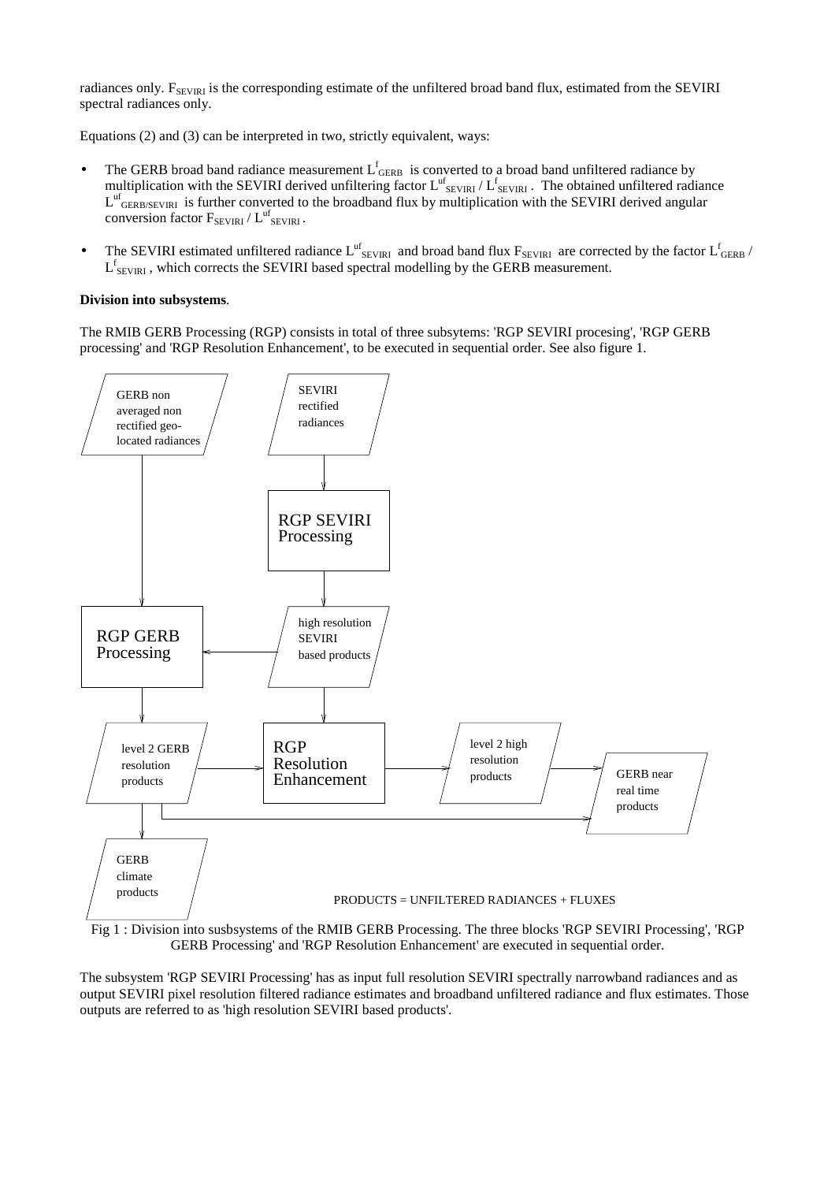radiances only.  $F_{SEVIRI}$  is the corresponding estimate of the unfiltered broad band flux, estimated from the SEVIRI spectral radiances only.

Equations (2) and (3) can be interpreted in two, strictly equivalent, ways:

- The GERB broad band radiance measurement  $L_{GERB}^f$  is converted to a broad band unfiltered radiance by multiplication with the SEVIRI derived unfiltering factor  $L^{uf}$ <sub>SEVIRI</sub> /  $L^f$ <sub>SEVIRI</sub>. The obtained unfiltered radiance  $L^{uf}$ <sub>GERB/SEVIRI</sub> is further converted to the broadband flux by multiplication with the SEVIRI derived angular conversion factor  $F_{SEVIRI} / L^{uf}_{SEVIRI}$ .
- The SEVIRI estimated unfiltered radiance  $L^{uf}$ <sub>SEVIRI</sub> and broad band flux  $F_{SEVIRI}$  are corrected by the factor  $L^f$ <sub>GERB</sub> /  $L_{SEVIRI}^f$ , which corrects the SEVIRI based spectral modelling by the GERB measurement.

# **Division into subsystems**.

The RMIB GERB Processing (RGP) consists in total of three subsytems: 'RGP SEVIRI procesing', 'RGP GERB processing' and 'RGP Resolution Enhancement', to be executed in sequential order. See also figure 1.



GERB Processing' and 'RGP Resolution Enhancement' are executed in sequential order.

The subsystem 'RGP SEVIRI Processing' has as input full resolution SEVIRI spectrally narrowband radiances and as output SEVIRI pixel resolution filtered radiance estimates and broadband unfiltered radiance and flux estimates. Those outputs are referred to as 'high resolution SEVIRI based products'.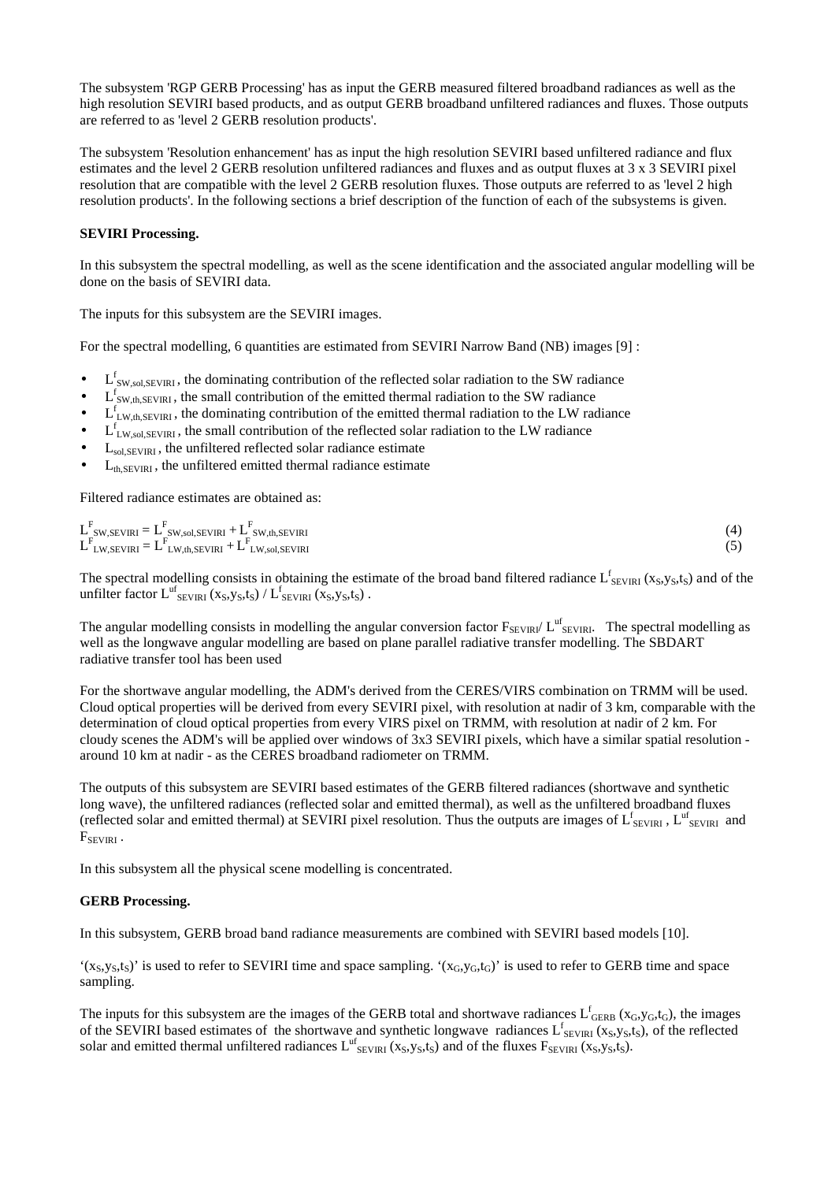The subsystem 'RGP GERB Processing' has as input the GERB measured filtered broadband radiances as well as the high resolution SEVIRI based products, and as output GERB broadband unfiltered radiances and fluxes. Those outputs are referred to as 'level 2 GERB resolution products'.

The subsystem 'Resolution enhancement' has as input the high resolution SEVIRI based unfiltered radiance and flux estimates and the level 2 GERB resolution unfiltered radiances and fluxes and as output fluxes at 3 x 3 SEVIRI pixel resolution that are compatible with the level 2 GERB resolution fluxes. Those outputs are referred to as 'level 2 high resolution products'. In the following sections a brief description of the function of each of the subsystems is given.

# **SEVIRI Processing.**

In this subsystem the spectral modelling, as well as the scene identification and the associated angular modelling will be done on the basis of SEVIRI data.

The inputs for this subsystem are the SEVIRI images.

For the spectral modelling, 6 quantities are estimated from SEVIRI Narrow Band (NB) images [9] :

- $\bullet$  L<sup>f</sup><sub>SW,sol,SEVIRI</sub>, the dominating contribution of the reflected solar radiation to the SW radiance
- $\bullet$  L<sup>f</sup><sub>SW,th,SEVIRI</sub>, the small contribution of the emitted thermal radiation to the SW radiance
- $\bullet$  L<sup>f</sup><sub>LW,th,SEVIRI</sub>, the dominating contribution of the emitted thermal radiation to the LW radiance
- $\bullet$  L<sub>LW,sol,SEVIRI</sub>, the small contribution of the reflected solar radiation to the LW radiance
- L<sub>sol,SEVIRI</sub>, the unfiltered reflected solar radiance estimate
- $L_{th,SEVIRI}$ , the unfiltered emitted thermal radiance estimate

Filtered radiance estimates are obtained as:

| $\sim$ 10<br>$L$ SW, SEVIRI $= L$ SW, sol, SEVIRI $+ L$ SW, th, SEVIRI |  |
|------------------------------------------------------------------------|--|
| $L$ LW, SEVIRI $= L$ LW, th, SEVIRI $+ L$ LW, sol, SEVIRI              |  |

The spectral modelling consists in obtaining the estimate of the broad band filtered radiance  $L^f_{SEVIRI}$  ( $x_S, y_S, t_S$ ) and of the unfilter factor  $L^{uf}_{SEVIRI}$  (x<sub>S</sub>,y<sub>S</sub>,t<sub>S</sub>) /  $L^{f}_{SEVIRI}$  (x<sub>S</sub>,y<sub>S</sub>,t<sub>S</sub>).

The angular modelling consists in modelling the angular conversion factor  $F_{SEVIRI}/L^{uf}_{SEVIRI}$ . The spectral modelling as well as the longwave angular modelling are based on plane parallel radiative transfer modelling. The SBDART radiative transfer tool has been used

For the shortwave angular modelling, the ADM's derived from the CERES/VIRS combination on TRMM will be used. Cloud optical properties will be derived from every SEVIRI pixel, with resolution at nadir of 3 km, comparable with the determination of cloud optical properties from every VIRS pixel on TRMM, with resolution at nadir of 2 km. For cloudy scenes the ADM's will be applied over windows of 3x3 SEVIRI pixels, which have a similar spatial resolution around 10 km at nadir - as the CERES broadband radiometer on TRMM.

The outputs of this subsystem are SEVIRI based estimates of the GERB filtered radiances (shortwave and synthetic long wave), the unfiltered radiances (reflected solar and emitted thermal), as well as the unfiltered broadband fluxes (reflected solar and emitted thermal) at SEVIRI pixel resolution. Thus the outputs are images of  $L^f_{SEVIRI}$ ,  $L^{uf}_{SEVIRI}$  and  $F_{SEVIRI}$ .

In this subsystem all the physical scene modelling is concentrated.

# **GERB Processing.**

In this subsystem, GERB broad band radiance measurements are combined with SEVIRI based models [10].

 $'(x_S, y_S, t_S)'$  is used to refer to SEVIRI time and space sampling.  $'(x_G, y_G, t_G)'$  is used to refer to GERB time and space sampling.

The inputs for this subsystem are the images of the GERB total and shortwave radiances  $L^f$ <sub>GERB</sub> ( $x_G$ , $y_G$ , $t_G$ ), the images of the SEVIRI based estimates of the shortwave and synthetic longwave radiances  $L^f$ <sub>SEVIRI</sub> (x<sub>S</sub>,y<sub>S</sub>,t<sub>S</sub>), of the reflected solar and emitted thermal unfiltered radiances  $L^{uf}$ <sub>SEVIRI</sub> (x<sub>S</sub>,y<sub>S</sub>,t<sub>S</sub>) and of the fluxes  $F_{SEVIRI}$  (x<sub>S</sub>,y<sub>S</sub>,t<sub>S</sub>).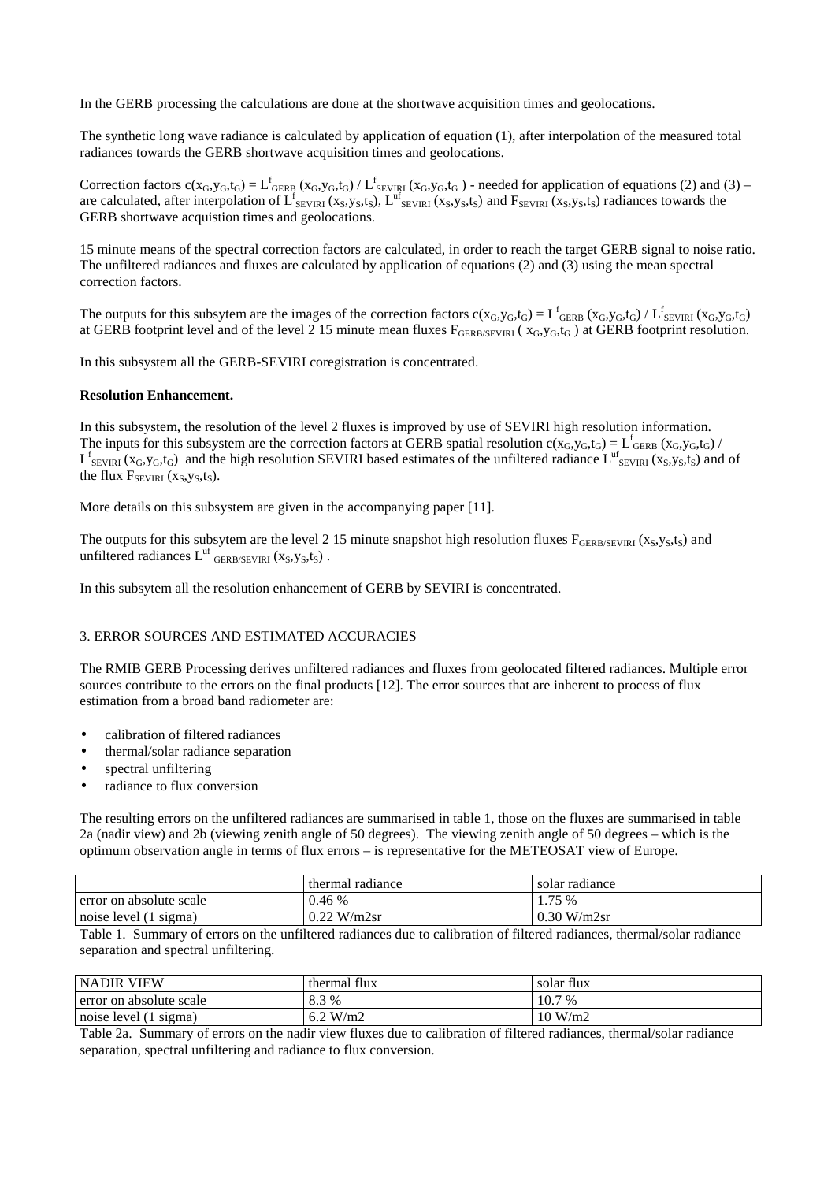In the GERB processing the calculations are done at the shortwave acquisition times and geolocations.

The synthetic long wave radiance is calculated by application of equation (1), after interpolation of the measured total radiances towards the GERB shortwave acquisition times and geolocations.

Correction factors  $c(x_G, y_G, t_G) = L_{GERB}^f(x_G, y_G, t_G) / L_{SEVIRI}^f(x_G, y_G, t_G)$  - needed for application of equations (2) and (3) – are calculated, after interpolation of  $L^f_{SEVIRI}(x_S,y_S,t_S)$ ,  $L^{uf}_{SEVIRI}(x_S,y_S,t_S)$  and  $F_{SEVIRI}(x_S,y_S,t_S)$  radiances towards the GERB shortwave acquistion times and geolocations.

15 minute means of the spectral correction factors are calculated, in order to reach the target GERB signal to noise ratio. The unfiltered radiances and fluxes are calculated by application of equations (2) and (3) using the mean spectral correction factors.

The outputs for this subsytem are the images of the correction factors  $c(x_G, y_G, t_G) = L^f$  GERB  $(x_G, y_G, t_G) / L^f$  SEVIRI  $(x_G, y_G, t_G)$ at GERB footprint level and of the level 2 15 minute mean fluxes  $F_{GERB/SEVIRI}$  ( $x_G, y_G, t_G$ ) at GERB footprint resolution.

In this subsystem all the GERB-SEVIRI coregistration is concentrated.

### **Resolution Enhancement.**

In this subsystem, the resolution of the level 2 fluxes is improved by use of SEVIRI high resolution information. The inputs for this subsystem are the correction factors at GERB spatial resolution  $c(x_G, y_G, t_G) = L_{GERB}^f (x_G, y_G, t_G)$  $L_{SEVIRI}^f$  ( $x_G, y_G, t_G$ ) and the high resolution SEVIRI based estimates of the unfiltered radiance  $L_{SEVIRI}^{uf}$  ( $x_S, y_S, t_S$ ) and of the flux  $F_{SEVIRI}$  (x<sub>S</sub>,y<sub>S</sub>,t<sub>S</sub>).

More details on this subsystem are given in the accompanying paper [11].

The outputs for this subsytem are the level 2 15 minute snapshot high resolution fluxes  $F_{GERB/SEVIRI}$  (x<sub>S</sub>,y<sub>S</sub>,t<sub>S</sub>) and unfiltered radiances  $L^{uf}$  GERB/SEVIRI  $(x_S, y_S, t_S)$ .

In this subsytem all the resolution enhancement of GERB by SEVIRI is concentrated.

# 3. ERROR SOURCES AND ESTIMATED ACCURACIES

The RMIB GERB Processing derives unfiltered radiances and fluxes from geolocated filtered radiances. Multiple error sources contribute to the errors on the final products [12]. The error sources that are inherent to process of flux estimation from a broad band radiometer are:

- calibration of filtered radiances
- thermal/solar radiance separation
- spectral unfiltering
- radiance to flux conversion

The resulting errors on the unfiltered radiances are summarised in table 1, those on the fluxes are summarised in table 2a (nadir view) and 2b (viewing zenith angle of 50 degrees). The viewing zenith angle of 50 degrees – which is the optimum observation angle in terms of flux errors – is representative for the METEOSAT view of Europe.

|                          | thermal radiance | solar radiance |
|--------------------------|------------------|----------------|
| Ferror on absolute scale | 0.46%            | 1.75 %         |
| noise level (1 sigma)    | $0.22$ W/m2sr    | $0.30$ W/m2sr  |

Table 1. Summary of errors on the unfiltered radiances due to calibration of filtered radiances, thermal/solar radiance separation and spectral unfiltering.

| <b>NADIR VIEW</b>       | thermal flux | flux<br>solar |
|-------------------------|--------------|---------------|
| error on absolute scale | 8.3%         | 10.7<br>7 %   |
| noise level (1 sigma)   | 6.2 W/m2     | 10 W/m2       |

Table 2a. Summary of errors on the nadir view fluxes due to calibration of filtered radiances, thermal/solar radiance separation, spectral unfiltering and radiance to flux conversion.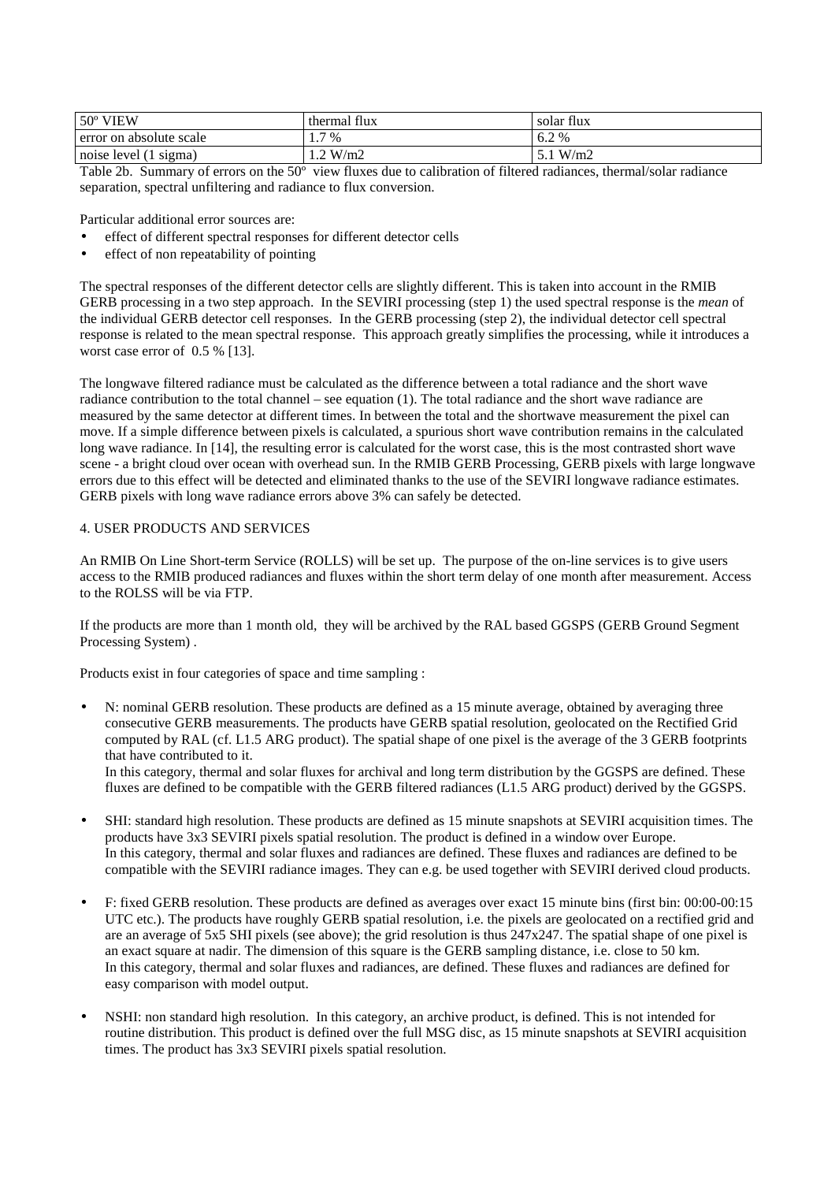| $50^{\circ}$ VIEW       | thermal flux          | solar flux |
|-------------------------|-----------------------|------------|
| error on absolute scale | 7 %<br>$\mathbf{1}$ . | 2%<br>0.2  |
| noise level (1 sigma)   | .2 W/m2               | W/m2       |

Table 2b. Summary of errors on the 50º view fluxes due to calibration of filtered radiances, thermal/solar radiance separation, spectral unfiltering and radiance to flux conversion.

Particular additional error sources are:

- effect of different spectral responses for different detector cells
- effect of non repeatability of pointing

The spectral responses of the different detector cells are slightly different. This is taken into account in the RMIB GERB processing in a two step approach. In the SEVIRI processing (step 1) the used spectral response is the *mean* of the individual GERB detector cell responses. In the GERB processing (step 2), the individual detector cell spectral response is related to the mean spectral response. This approach greatly simplifies the processing, while it introduces a worst case error of  $0.5\%$  [13].

The longwave filtered radiance must be calculated as the difference between a total radiance and the short wave radiance contribution to the total channel – see equation (1). The total radiance and the short wave radiance are measured by the same detector at different times. In between the total and the shortwave measurement the pixel can move. If a simple difference between pixels is calculated, a spurious short wave contribution remains in the calculated long wave radiance. In [14], the resulting error is calculated for the worst case, this is the most contrasted short wave scene - a bright cloud over ocean with overhead sun. In the RMIB GERB Processing, GERB pixels with large longwave errors due to this effect will be detected and eliminated thanks to the use of the SEVIRI longwave radiance estimates. GERB pixels with long wave radiance errors above 3% can safely be detected.

# 4. USER PRODUCTS AND SERVICES

An RMIB On Line Short-term Service (ROLLS) will be set up. The purpose of the on-line services is to give users access to the RMIB produced radiances and fluxes within the short term delay of one month after measurement. Access to the ROLSS will be via FTP.

If the products are more than 1 month old, they will be archived by the RAL based GGSPS (GERB Ground Segment Processing System) .

Products exist in four categories of space and time sampling :

• N: nominal GERB resolution. These products are defined as a 15 minute average, obtained by averaging three consecutive GERB measurements. The products have GERB spatial resolution, geolocated on the Rectified Grid computed by RAL (cf. L1.5 ARG product). The spatial shape of one pixel is the average of the 3 GERB footprints that have contributed to it.

In this category, thermal and solar fluxes for archival and long term distribution by the GGSPS are defined. These fluxes are defined to be compatible with the GERB filtered radiances (L1.5 ARG product) derived by the GGSPS.

- SHI: standard high resolution. These products are defined as 15 minute snapshots at SEVIRI acquisition times. The products have 3x3 SEVIRI pixels spatial resolution. The product is defined in a window over Europe. In this category, thermal and solar fluxes and radiances are defined. These fluxes and radiances are defined to be compatible with the SEVIRI radiance images. They can e.g. be used together with SEVIRI derived cloud products.
- F: fixed GERB resolution. These products are defined as averages over exact 15 minute bins (first bin: 00:00-00:15 UTC etc.). The products have roughly GERB spatial resolution, i.e. the pixels are geolocated on a rectified grid and are an average of 5x5 SHI pixels (see above); the grid resolution is thus 247x247. The spatial shape of one pixel is an exact square at nadir. The dimension of this square is the GERB sampling distance, i.e. close to 50 km. In this category, thermal and solar fluxes and radiances, are defined. These fluxes and radiances are defined for easy comparison with model output.
- NSHI: non standard high resolution. In this category, an archive product, is defined. This is not intended for routine distribution. This product is defined over the full MSG disc, as 15 minute snapshots at SEVIRI acquisition times. The product has 3x3 SEVIRI pixels spatial resolution.